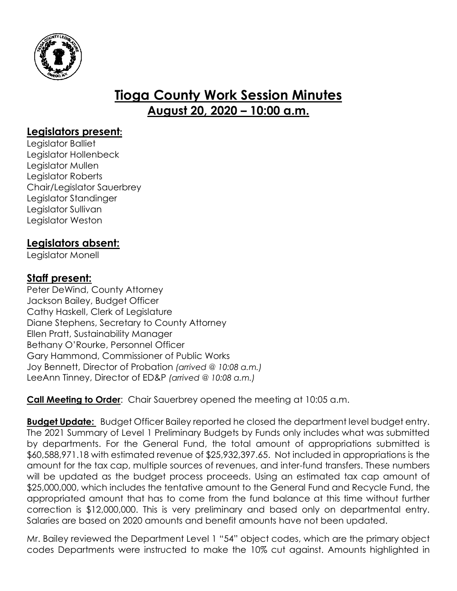

# **Tioga County Work Session Minutes August 20, 2020 – 10:00 a.m.**

## **Legislators present:**

Legislator Balliet Legislator Hollenbeck Legislator Mullen Legislator Roberts Chair/Legislator Sauerbrey Legislator Standinger Legislator Sullivan Legislator Weston

## **Legislators absent:**

Legislator Monell

## **Staff present:**

Peter DeWind, County Attorney Jackson Bailey, Budget Officer Cathy Haskell, Clerk of Legislature Diane Stephens, Secretary to County Attorney Ellen Pratt, Sustainability Manager Bethany O'Rourke, Personnel Officer Gary Hammond, Commissioner of Public Works Joy Bennett, Director of Probation *(arrived @ 10:08 a.m.)* LeeAnn Tinney, Director of ED&P *(arrived @ 10:08 a.m.)*

**Call Meeting to Order**: Chair Sauerbrey opened the meeting at 10:05 a.m.

**Budget Update:** Budget Officer Bailey reported he closed the department level budget entry. The 2021 Summary of Level 1 Preliminary Budgets by Funds only includes what was submitted by departments. For the General Fund, the total amount of appropriations submitted is \$60,588,971.18 with estimated revenue of \$25,932,397.65. Not included in appropriations is the amount for the tax cap, multiple sources of revenues, and inter-fund transfers. These numbers will be updated as the budget process proceeds. Using an estimated tax cap amount of \$25,000,000, which includes the tentative amount to the General Fund and Recycle Fund, the appropriated amount that has to come from the fund balance at this time without further correction is \$12,000,000. This is very preliminary and based only on departmental entry. Salaries are based on 2020 amounts and benefit amounts have not been updated.

Mr. Bailey reviewed the Department Level 1 "54" object codes, which are the primary object codes Departments were instructed to make the 10% cut against. Amounts highlighted in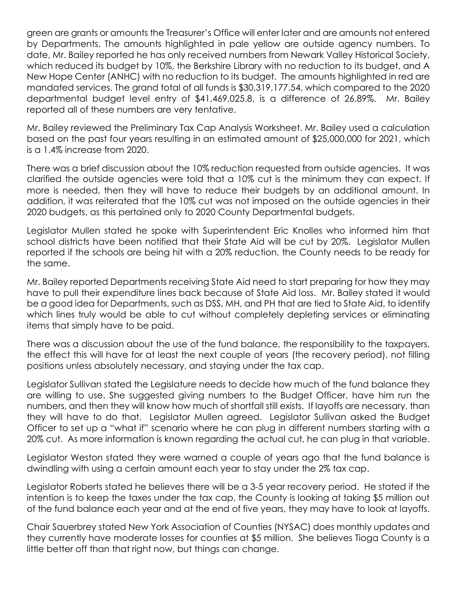green are grants or amounts the Treasurer's Office will enter later and are amounts not entered by Departments. The amounts highlighted in pale yellow are outside agency numbers. To date, Mr. Bailey reported he has only received numbers from Newark Valley Historical Society, which reduced its budget by 10%, the Berkshire Library with no reduction to its budget, and A New Hope Center (ANHC) with no reduction to its budget. The amounts highlighted in red are mandated services. The grand total of all funds is \$30,319,177.54, which compared to the 2020 departmental budget level entry of \$41,469,025.8, is a difference of 26.89%. Mr. Bailey reported all of these numbers are very tentative.

Mr. Bailey reviewed the Preliminary Tax Cap Analysis Worksheet. Mr. Bailey used a calculation based on the past four years resulting in an estimated amount of \$25,000,000 for 2021, which is a 1.4% increase from 2020.

There was a brief discussion about the 10% reduction requested from outside agencies. It was clarified the outside agencies were told that a 10% cut is the minimum they can expect. If more is needed, then they will have to reduce their budgets by an additional amount. In addition, it was reiterated that the 10% cut was not imposed on the outside agencies in their 2020 budgets, as this pertained only to 2020 County Departmental budgets.

Legislator Mullen stated he spoke with Superintendent Eric Knolles who informed him that school districts have been notified that their State Aid will be cut by 20%. Legislator Mullen reported if the schools are being hit with a 20% reduction, the County needs to be ready for the same.

Mr. Bailey reported Departments receiving State Aid need to start preparing for how they may have to pull their expenditure lines back because of State Aid loss. Mr. Bailey stated it would be a good idea for Departments, such as DSS, MH, and PH that are tied to State Aid, to identify which lines truly would be able to cut without completely depleting services or eliminating items that simply have to be paid.

There was a discussion about the use of the fund balance, the responsibility to the taxpayers, the effect this will have for at least the next couple of years (the recovery period), not filling positions unless absolutely necessary, and staying under the tax cap.

Legislator Sullivan stated the Legislature needs to decide how much of the fund balance they are willing to use. She suggested giving numbers to the Budget Officer, have him run the numbers, and then they will know how much of shortfall still exists. If layoffs are necessary, than they will have to do that. Legislator Mullen agreed. Legislator Sullivan asked the Budget Officer to set up a "what if" scenario where he can plug in different numbers starting with a 20% cut. As more information is known regarding the actual cut, he can plug in that variable.

Legislator Weston stated they were warned a couple of years ago that the fund balance is dwindling with using a certain amount each year to stay under the 2% tax cap.

Legislator Roberts stated he believes there will be a 3-5 year recovery period. He stated if the intention is to keep the taxes under the tax cap, the County is looking at taking \$5 million out of the fund balance each year and at the end of five years, they may have to look at layoffs.

Chair Sauerbrey stated New York Association of Counties (NYSAC) does monthly updates and they currently have moderate losses for counties at \$5 million. She believes Tioga County is a little better off than that right now, but things can change.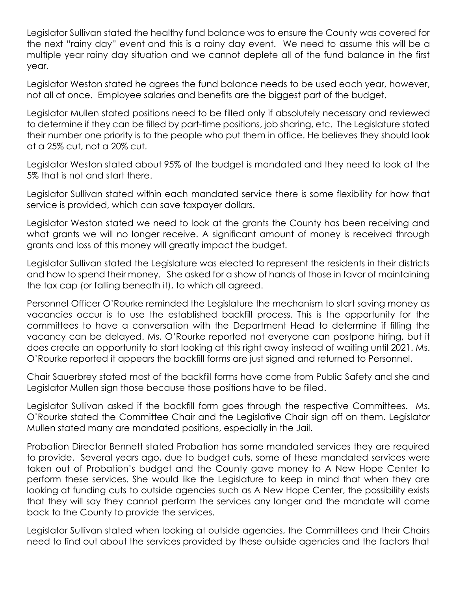Legislator Sullivan stated the healthy fund balance was to ensure the County was covered for the next "rainy day" event and this is a rainy day event. We need to assume this will be a multiple year rainy day situation and we cannot deplete all of the fund balance in the first year.

Legislator Weston stated he agrees the fund balance needs to be used each year, however, not all at once. Employee salaries and benefits are the biggest part of the budget.

Legislator Mullen stated positions need to be filled only if absolutely necessary and reviewed to determine if they can be filled by part-time positions, job sharing, etc. The Legislature stated their number one priority is to the people who put them in office. He believes they should look at a 25% cut, not a 20% cut.

Legislator Weston stated about 95% of the budget is mandated and they need to look at the 5% that is not and start there.

Legislator Sullivan stated within each mandated service there is some flexibility for how that service is provided, which can save taxpayer dollars.

Legislator Weston stated we need to look at the grants the County has been receiving and what grants we will no longer receive. A significant amount of money is received through grants and loss of this money will greatly impact the budget.

Legislator Sullivan stated the Legislature was elected to represent the residents in their districts and how to spend their money. She asked for a show of hands of those in favor of maintaining the tax cap (or falling beneath it), to which all agreed.

Personnel Officer O'Rourke reminded the Legislature the mechanism to start saving money as vacancies occur is to use the established backfill process. This is the opportunity for the committees to have a conversation with the Department Head to determine if filling the vacancy can be delayed. Ms. O'Rourke reported not everyone can postpone hiring, but it does create an opportunity to start looking at this right away instead of waiting until 2021. Ms. O'Rourke reported it appears the backfill forms are just signed and returned to Personnel.

Chair Sauerbrey stated most of the backfill forms have come from Public Safety and she and Legislator Mullen sign those because those positions have to be filled.

Legislator Sullivan asked if the backfill form goes through the respective Committees. Ms. O'Rourke stated the Committee Chair and the Legislative Chair sign off on them. Legislator Mullen stated many are mandated positions, especially in the Jail.

Probation Director Bennett stated Probation has some mandated services they are required to provide. Several years ago, due to budget cuts, some of these mandated services were taken out of Probation's budget and the County gave money to A New Hope Center to perform these services. She would like the Legislature to keep in mind that when they are looking at funding cuts to outside agencies such as A New Hope Center, the possibility exists that they will say they cannot perform the services any longer and the mandate will come back to the County to provide the services.

Legislator Sullivan stated when looking at outside agencies, the Committees and their Chairs need to find out about the services provided by these outside agencies and the factors that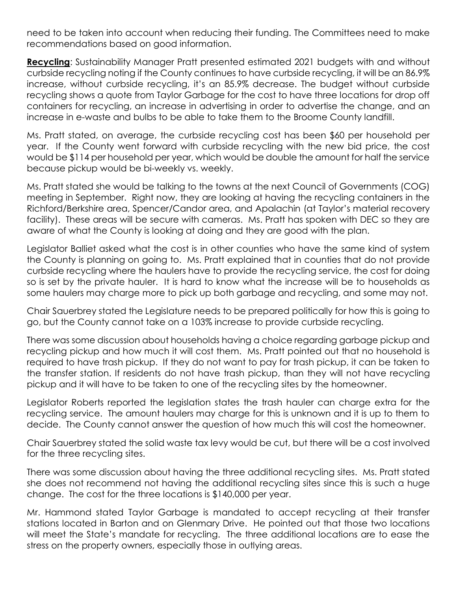need to be taken into account when reducing their funding. The Committees need to make recommendations based on good information.

Recycling: Sustainability Manager Pratt presented estimated 2021 budgets with and without curbside recycling noting if the County continues to have curbside recycling, it will be an 86.9% increase, without curbside recycling, it's an 85.9% decrease. The budget without curbside recycling shows a quote from Taylor Garbage for the cost to have three locations for drop off containers for recycling, an increase in advertising in order to advertise the change, and an increase in e-waste and bulbs to be able to take them to the Broome County landfill.

Ms. Pratt stated, on average, the curbside recycling cost has been \$60 per household per year. If the County went forward with curbside recycling with the new bid price, the cost would be \$114 per household per year, which would be double the amount for half the service because pickup would be bi-weekly vs. weekly.

Ms. Pratt stated she would be talking to the towns at the next Council of Governments (COG) meeting in September. Right now, they are looking at having the recycling containers in the Richford/Berkshire area, Spencer/Candor area, and Apalachin (at Taylor's material recovery facility). These areas will be secure with cameras. Ms. Pratt has spoken with DEC so they are aware of what the County is looking at doing and they are good with the plan.

Legislator Balliet asked what the cost is in other counties who have the same kind of system the County is planning on going to. Ms. Pratt explained that in counties that do not provide curbside recycling where the haulers have to provide the recycling service, the cost for doing so is set by the private hauler. It is hard to know what the increase will be to households as some haulers may charge more to pick up both garbage and recycling, and some may not.

Chair Sauerbrey stated the Legislature needs to be prepared politically for how this is going to go, but the County cannot take on a 103% increase to provide curbside recycling.

There was some discussion about households having a choice regarding garbage pickup and recycling pickup and how much it will cost them. Ms. Pratt pointed out that no household is required to have trash pickup. If they do not want to pay for trash pickup, it can be taken to the transfer station. If residents do not have trash pickup, than they will not have recycling pickup and it will have to be taken to one of the recycling sites by the homeowner.

Legislator Roberts reported the legislation states the trash hauler can charge extra for the recycling service. The amount haulers may charge for this is unknown and it is up to them to decide. The County cannot answer the question of how much this will cost the homeowner.

Chair Sauerbrey stated the solid waste tax levy would be cut, but there will be a cost involved for the three recycling sites.

There was some discussion about having the three additional recycling sites. Ms. Pratt stated she does not recommend not having the additional recycling sites since this is such a huge change. The cost for the three locations is \$140,000 per year.

Mr. Hammond stated Taylor Garbage is mandated to accept recycling at their transfer stations located in Barton and on Glenmary Drive. He pointed out that those two locations will meet the State's mandate for recycling. The three additional locations are to ease the stress on the property owners, especially those in outlying areas.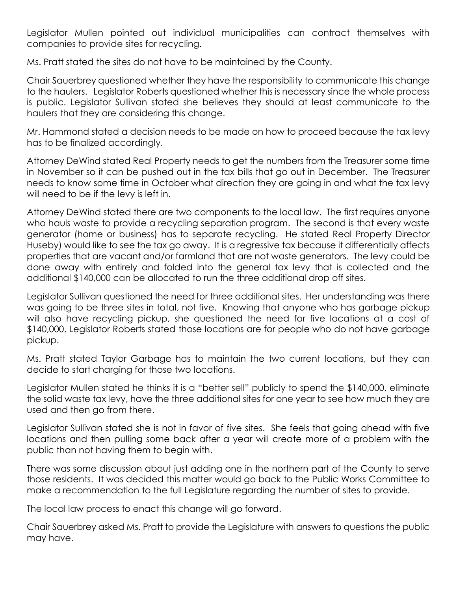Legislator Mullen pointed out individual municipalities can contract themselves with companies to provide sites for recycling.

Ms. Pratt stated the sites do not have to be maintained by the County.

Chair Sauerbrey questioned whether they have the responsibility to communicate this change to the haulers. Legislator Roberts questioned whether this is necessary since the whole process is public. Legislator Sullivan stated she believes they should at least communicate to the haulers that they are considering this change.

Mr. Hammond stated a decision needs to be made on how to proceed because the tax levy has to be finalized accordingly.

Attorney DeWind stated Real Property needs to get the numbers from the Treasurer some time in November so it can be pushed out in the tax bills that go out in December. The Treasurer needs to know some time in October what direction they are going in and what the tax levy will need to be if the levy is left in.

Attorney DeWind stated there are two components to the local law. The first requires anyone who hauls waste to provide a recycling separation program. The second is that every waste generator (home or business) has to separate recycling. He stated Real Property Director Huseby) would like to see the tax go away. It is a regressive tax because it differentially affects properties that are vacant and/or farmland that are not waste generators. The levy could be done away with entirely and folded into the general tax levy that is collected and the additional \$140,000 can be allocated to run the three additional drop off sites.

Legislator Sullivan questioned the need for three additional sites. Her understanding was there was going to be three sites in total, not five. Knowing that anyone who has garbage pickup will also have recycling pickup, she questioned the need for five locations at a cost of \$140,000. Legislator Roberts stated those locations are for people who do not have garbage pickup.

Ms. Pratt stated Taylor Garbage has to maintain the two current locations, but they can decide to start charging for those two locations.

Legislator Mullen stated he thinks it is a "better sell" publicly to spend the \$140,000, eliminate the solid waste tax levy, have the three additional sites for one year to see how much they are used and then go from there.

Legislator Sullivan stated she is not in favor of five sites. She feels that going ahead with five locations and then pulling some back after a year will create more of a problem with the public than not having them to begin with.

There was some discussion about just adding one in the northern part of the County to serve those residents. It was decided this matter would go back to the Public Works Committee to make a recommendation to the full Legislature regarding the number of sites to provide.

The local law process to enact this change will go forward.

Chair Sauerbrey asked Ms. Pratt to provide the Legislature with answers to questions the public may have.